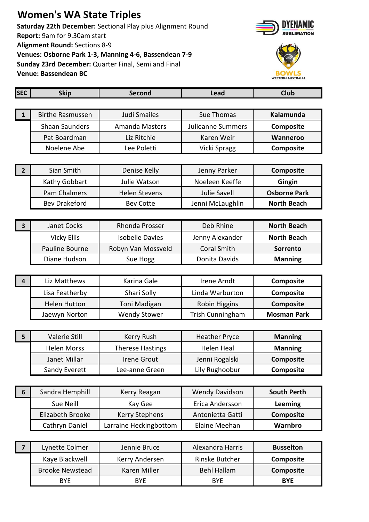## **Women's WA State Triples**

**Saturday 22th December:** Sectional Play plus Alignment Round **Report:** 9am for 9.30am start **Alignment Round:** Sections 8-9 **Venues: Osborne Park 1-3, Manning 4-6, Bassendean 7-9 Sunday 23rd December:** Quarter Final, Semi and Final **Venue: Bassendean BC**





| <b>SEC</b>              | <b>Skip</b>             | Second                  | <b>Lead</b>           | <b>Club</b>         |
|-------------------------|-------------------------|-------------------------|-----------------------|---------------------|
|                         |                         |                         |                       |                     |
| $\mathbf{1}$            | <b>Birthe Rasmussen</b> | Judi Smailes            | Sue Thomas            | Kalamunda           |
|                         | <b>Shaan Saunders</b>   | <b>Amanda Masters</b>   | Julieanne Summers     | Composite           |
|                         | Pat Boardman            | Liz Ritchie             | Karen Weir            | Wanneroo            |
|                         | Noelene Abe             | Lee Poletti             | Vicki Spragg          | Composite           |
|                         |                         |                         |                       |                     |
| $\overline{\mathbf{2}}$ | Sian Smith              | Denise Kelly            | Jenny Parker          | Composite           |
|                         | Kathy Gobbart           | Julie Watson            | Noeleen Keeffe        | Gingin              |
|                         | <b>Pam Chalmers</b>     | <b>Helen Stevens</b>    | <b>Julie Savell</b>   | <b>Osborne Park</b> |
|                         | <b>Bev Drakeford</b>    | <b>Bev Cotte</b>        | Jenni McLaughlin      | <b>North Beach</b>  |
|                         |                         |                         |                       |                     |
| $\overline{\mathbf{3}}$ | <b>Janet Cocks</b>      | Rhonda Prosser          | Deb Rhine             | <b>North Beach</b>  |
|                         | <b>Vicky Ellis</b>      | <b>Isobelle Davies</b>  | Jenny Alexander       | <b>North Beach</b>  |
|                         | Pauline Bourne          | Robyn Van Mossveld      | <b>Coral Smith</b>    | Sorrento            |
|                         | Diane Hudson            | Sue Hogg                | Donita Davids         | <b>Manning</b>      |
|                         |                         |                         |                       |                     |
| $\overline{4}$          | Liz Matthews            | Karina Gale             | Irene Arndt           | Composite           |
|                         | Lisa Featherby          | Shari Solly             | Linda Warburton       | Composite           |
|                         | <b>Helen Hutton</b>     | Toni Madigan            | Robin Higgins         | Composite           |
|                         | Jaewyn Norton           | <b>Wendy Stower</b>     | Trish Cunningham      | <b>Mosman Park</b>  |
|                         |                         |                         |                       |                     |
| 5                       | Valerie Still           | Kerry Rush              | <b>Heather Pryce</b>  | <b>Manning</b>      |
|                         | <b>Helen Morss</b>      | <b>Therese Hastings</b> | <b>Helen Heal</b>     | <b>Manning</b>      |
|                         | Janet Millar            | <b>Irene Grout</b>      | Jenni Rogalski        | Composite           |
|                         | Sandy Everett           | Lee-anne Green          | Lily Rughoobur        | Composite           |
|                         |                         |                         |                       |                     |
| 6                       | Sandra Hemphill         | Kerry Reagan            | <b>Wendy Davidson</b> | <b>South Perth</b>  |
|                         | Sue Neill               | Kay Gee                 | Erica Andersson       | <b>Leeming</b>      |
|                         | Elizabeth Brooke        | <b>Kerry Stephens</b>   | Antonietta Gatti      | Composite           |
|                         | Cathryn Daniel          | Larraine Heckingbottom  | Elaine Meehan         | Warnbro             |
|                         |                         |                         |                       |                     |

| Lynette Colmer         | Jennie Bruce   | Alexandra Harris | <b>Busselton</b> |
|------------------------|----------------|------------------|------------------|
| Kaye Blackwell         | Kerry Andersen | Rinske Butcher   | <b>Composite</b> |
| <b>Brooke Newstead</b> | Karen Miller   | Behl Hallam      | <b>Composite</b> |
| <b>BYE</b>             | <b>BYE</b>     | <b>BYF</b>       | <b>BYE</b>       |